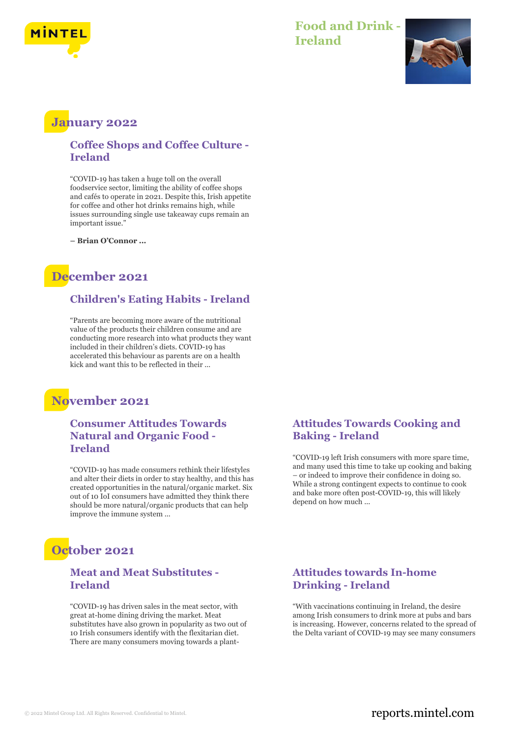

## **Food and Drink - Ireland**



# **January 2022**

#### **Coffee Shops and Coffee Culture - Ireland**

"COVID-19 has taken a huge toll on the overall foodservice sector, limiting the ability of coffee shops and cafés to operate in 2021. Despite this, Irish appetite for coffee and other hot drinks remains high, while issues surrounding single use takeaway cups remain an important issue."

**– Brian O'Connor ...**

# **December 2021**

## **Children's Eating Habits - Ireland**

"Parents are becoming more aware of the nutritional value of the products their children consume and are conducting more research into what products they want included in their children's diets. COVID-19 has accelerated this behaviour as parents are on a health kick and want this to be reflected in their ...

# **November 2021**

### **Consumer Attitudes Towards Natural and Organic Food - Ireland**

"COVID-19 has made consumers rethink their lifestyles and alter their diets in order to stay healthy, and this has created opportunities in the natural/organic market. Six out of 10 IoI consumers have admitted they think there should be more natural/organic products that can help improve the immune system ...

# **October 2021**

#### **Meat and Meat Substitutes - Ireland**

"COVID-19 has driven sales in the meat sector, with great at-home dining driving the market. Meat substitutes have also grown in popularity as two out of 10 Irish consumers identify with the flexitarian diet. There are many consumers moving towards a plant-

### **Attitudes Towards Cooking and Baking - Ireland**

"COVID-19 left Irish consumers with more spare time, and many used this time to take up cooking and baking – or indeed to improve their confidence in doing so. While a strong contingent expects to continue to cook and bake more often post-COVID-19, this will likely depend on how much ...

### **Attitudes towards In-home Drinking - Ireland**

"With vaccinations continuing in Ireland, the desire among Irish consumers to drink more at pubs and bars is increasing. However, concerns related to the spread of the Delta variant of COVID-19 may see many consumers

## © 2022 Mintel Group Ltd. All Rights Reserved. Confidential to Mintel.  $\blacksquare$  reports.mintel.com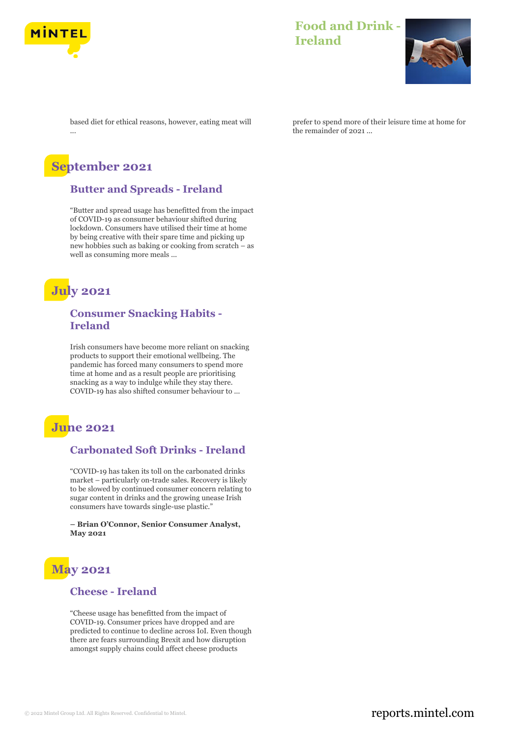

## **Food and Drink - Ireland**



based diet for ethical reasons, however, eating meat will ...

# **September 2021**

#### **Butter and Spreads - Ireland**

"Butter and spread usage has benefitted from the impact of COVID-19 as consumer behaviour shifted during lockdown. Consumers have utilised their time at home by being creative with their spare time and picking up new hobbies such as baking or cooking from scratch – as well as consuming more meals ...

# **July 2021**

### **Consumer Snacking Habits - Ireland**

Irish consumers have become more reliant on snacking products to support their emotional wellbeing. The pandemic has forced many consumers to spend more time at home and as a result people are prioritising snacking as a way to indulge while they stay there. COVID-19 has also shifted consumer behaviour to ...

# **June 2021**

### **Carbonated Soft Drinks - Ireland**

"COVID-19 has taken its toll on the carbonated drinks market – particularly on-trade sales. Recovery is likely to be slowed by continued consumer concern relating to sugar content in drinks and the growing unease Irish consumers have towards single-use plastic."

**– Brian O'Connor, Senior Consumer Analyst, May 2021**



#### **Cheese - Ireland**

"Cheese usage has benefitted from the impact of COVID-19. Consumer prices have dropped and are predicted to continue to decline across IoI. Even though there are fears surrounding Brexit and how disruption amongst supply chains could affect cheese products

prefer to spend more of their leisure time at home for the remainder of 2021 ...